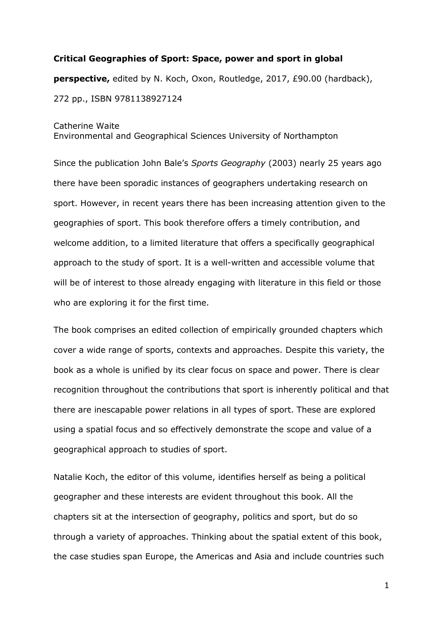## **Critical Geographies of Sport: Space, power and sport in global perspective,** edited by N. Koch, Oxon, Routledge, 2017, £90.00 (hardback), 272 pp., ISBN 9781138927124

## Catherine Waite

Environmental and Geographical Sciences University of Northampton

Since the publication John Bale's *Sports Geography* (2003) nearly 25 years ago there have been sporadic instances of geographers undertaking research on sport. However, in recent years there has been increasing attention given to the geographies of sport. This book therefore offers a timely contribution, and welcome addition, to a limited literature that offers a specifically geographical approach to the study of sport. It is a well-written and accessible volume that will be of interest to those already engaging with literature in this field or those who are exploring it for the first time.

The book comprises an edited collection of empirically grounded chapters which cover a wide range of sports, contexts and approaches. Despite this variety, the book as a whole is unified by its clear focus on space and power. There is clear recognition throughout the contributions that sport is inherently political and that there are inescapable power relations in all types of sport. These are explored using a spatial focus and so effectively demonstrate the scope and value of a geographical approach to studies of sport.

Natalie Koch, the editor of this volume, identifies herself as being a political geographer and these interests are evident throughout this book. All the chapters sit at the intersection of geography, politics and sport, but do so through a variety of approaches. Thinking about the spatial extent of this book, the case studies span Europe, the Americas and Asia and include countries such

1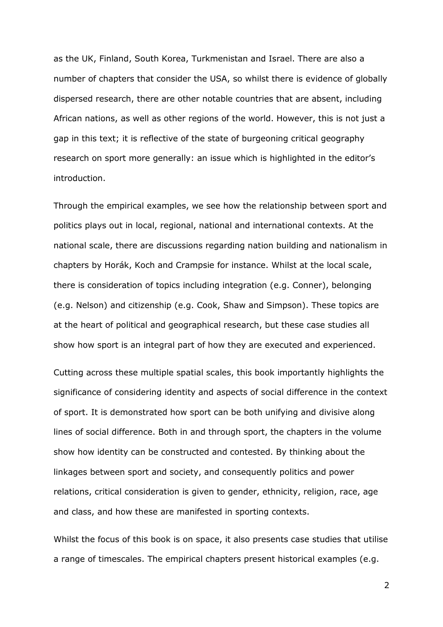as the UK, Finland, South Korea, Turkmenistan and Israel. There are also a number of chapters that consider the USA, so whilst there is evidence of globally dispersed research, there are other notable countries that are absent, including African nations, as well as other regions of the world. However, this is not just a gap in this text; it is reflective of the state of burgeoning critical geography research on sport more generally: an issue which is highlighted in the editor's introduction.

Through the empirical examples, we see how the relationship between sport and politics plays out in local, regional, national and international contexts. At the national scale, there are discussions regarding nation building and nationalism in chapters by Horák, Koch and Crampsie for instance. Whilst at the local scale, there is consideration of topics including integration (e.g. Conner), belonging (e.g. Nelson) and citizenship (e.g. Cook, Shaw and Simpson). These topics are at the heart of political and geographical research, but these case studies all show how sport is an integral part of how they are executed and experienced.

Cutting across these multiple spatial scales, this book importantly highlights the significance of considering identity and aspects of social difference in the context of sport. It is demonstrated how sport can be both unifying and divisive along lines of social difference. Both in and through sport, the chapters in the volume show how identity can be constructed and contested. By thinking about the linkages between sport and society, and consequently politics and power relations, critical consideration is given to gender, ethnicity, religion, race, age and class, and how these are manifested in sporting contexts.

Whilst the focus of this book is on space, it also presents case studies that utilise a range of timescales. The empirical chapters present historical examples (e.g.

2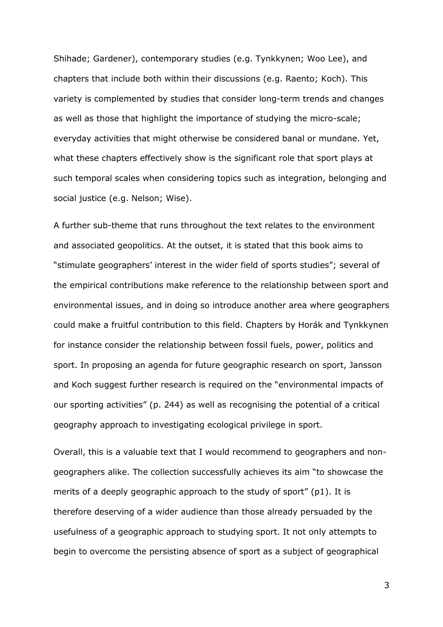Shihade; Gardener), contemporary studies (e.g. Tynkkynen; Woo Lee), and chapters that include both within their discussions (e.g. Raento; Koch). This variety is complemented by studies that consider long-term trends and changes as well as those that highlight the importance of studying the micro-scale; everyday activities that might otherwise be considered banal or mundane. Yet, what these chapters effectively show is the significant role that sport plays at such temporal scales when considering topics such as integration, belonging and social justice (e.g. Nelson; Wise).

A further sub-theme that runs throughout the text relates to the environment and associated geopolitics. At the outset, it is stated that this book aims to "stimulate geographers' interest in the wider field of sports studies"; several of the empirical contributions make reference to the relationship between sport and environmental issues, and in doing so introduce another area where geographers could make a fruitful contribution to this field. Chapters by Horák and Tynkkynen for instance consider the relationship between fossil fuels, power, politics and sport. In proposing an agenda for future geographic research on sport, Jansson and Koch suggest further research is required on the "environmental impacts of our sporting activities" (p. 244) as well as recognising the potential of a critical geography approach to investigating ecological privilege in sport.

Overall, this is a valuable text that I would recommend to geographers and nongeographers alike. The collection successfully achieves its aim "to showcase the merits of a deeply geographic approach to the study of sport" (p1). It is therefore deserving of a wider audience than those already persuaded by the usefulness of a geographic approach to studying sport. It not only attempts to begin to overcome the persisting absence of sport as a subject of geographical

3